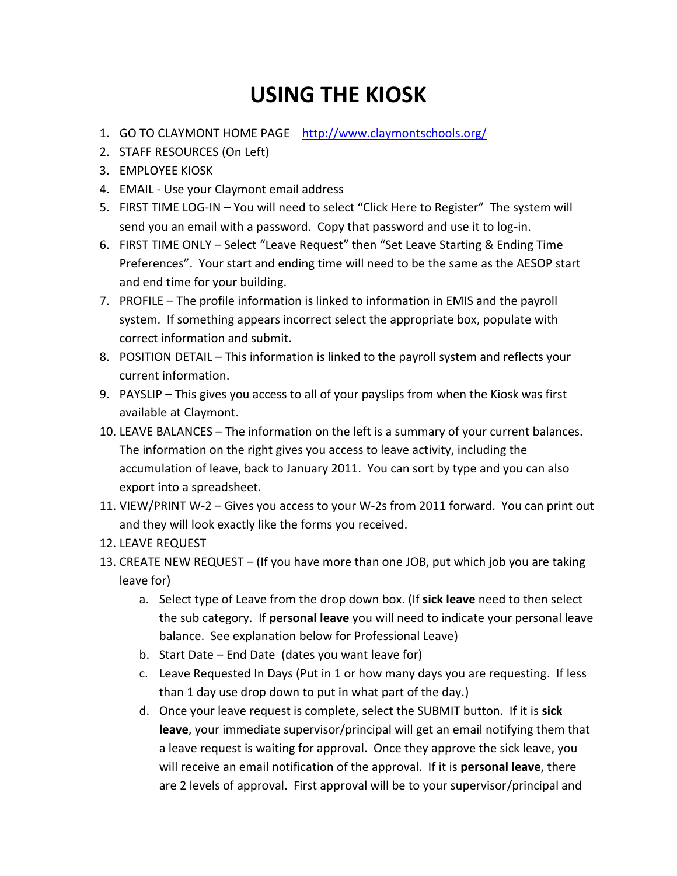## **USING THE KIOSK**

- 1. GO TO CLAYMONT HOME PAGE <http://www.claymontschools.org/>
- 2. STAFF RESOURCES (On Left)
- 3. EMPLOYEE KIOSK
- 4. EMAIL Use your Claymont email address
- 5. FIRST TIME LOG-IN You will need to select "Click Here to Register" The system will send you an email with a password. Copy that password and use it to log-in.
- 6. FIRST TIME ONLY Select "Leave Request" then "Set Leave Starting & Ending Time Preferences". Your start and ending time will need to be the same as the AESOP start and end time for your building.
- 7. PROFILE The profile information is linked to information in EMIS and the payroll system. If something appears incorrect select the appropriate box, populate with correct information and submit.
- 8. POSITION DETAIL This information is linked to the payroll system and reflects your current information.
- 9. PAYSLIP This gives you access to all of your payslips from when the Kiosk was first available at Claymont.
- 10. LEAVE BALANCES The information on the left is a summary of your current balances. The information on the right gives you access to leave activity, including the accumulation of leave, back to January 2011. You can sort by type and you can also export into a spreadsheet.
- 11. VIEW/PRINT W-2 Gives you access to your W-2s from 2011 forward. You can print out and they will look exactly like the forms you received.
- 12. LEAVE REQUEST
- 13. CREATE NEW REQUEST (If you have more than one JOB, put which job you are taking leave for)
	- a. Select type of Leave from the drop down box. (If **sick leave** need to then select the sub category. If **personal leave** you will need to indicate your personal leave balance. See explanation below for Professional Leave)
	- b. Start Date End Date (dates you want leave for)
	- c. Leave Requested In Days (Put in 1 or how many days you are requesting. If less than 1 day use drop down to put in what part of the day.)
	- d. Once your leave request is complete, select the SUBMIT button. If it is **sick leave**, your immediate supervisor/principal will get an email notifying them that a leave request is waiting for approval. Once they approve the sick leave, you will receive an email notification of the approval. If it is **personal leave**, there are 2 levels of approval. First approval will be to your supervisor/principal and